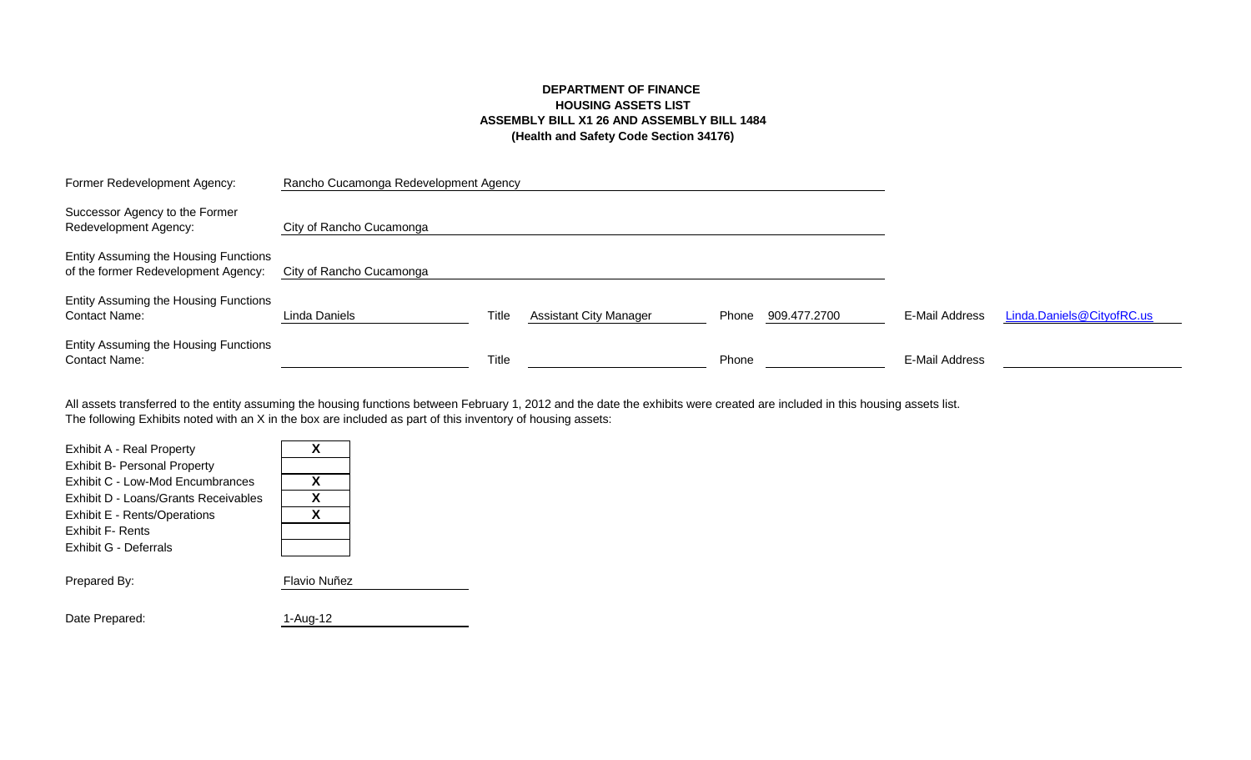# **DEPARTMENT OF FINANCE HOUSING ASSETS LIST ASSEMBLY BILL X1 26 AND ASSEMBLY BILL 1484 (Health and Safety Code Section 34176)**

| Former Redevelopment Agency:                                                 | Rancho Cucamonga Redevelopment Agency |              |                               |       |              |                |                           |
|------------------------------------------------------------------------------|---------------------------------------|--------------|-------------------------------|-------|--------------|----------------|---------------------------|
| Successor Agency to the Former<br>Redevelopment Agency:                      | City of Rancho Cucamonga              |              |                               |       |              |                |                           |
| Entity Assuming the Housing Functions<br>of the former Redevelopment Agency: | City of Rancho Cucamonga              |              |                               |       |              |                |                           |
| Entity Assuming the Housing Functions<br><b>Contact Name:</b>                | Linda Daniels                         | Title        | <b>Assistant City Manager</b> | Phone | 909.477.2700 | E-Mail Address | Linda.Daniels@CityofRC.us |
| Entity Assuming the Housing Functions<br><b>Contact Name:</b>                |                                       | <b>Title</b> |                               | Phone |              | E-Mail Address |                           |

The following Exhibits noted with an X in the box are included as part of this inventory of housing assets: All assets transferred to the entity assuming the housing functions between February 1, 2012 and the date the exhibits were created are included in this housing assets list.

| <b>Exhibit A - Real Property</b><br><b>Exhibit B- Personal Property</b><br>Exhibit C - Low-Mod Encumbrances<br>Exhibit D - Loans/Grants Receivables<br>Exhibit E - Rents/Operations<br>Exhibit F- Rents | x<br>X<br>x<br>X |
|---------------------------------------------------------------------------------------------------------------------------------------------------------------------------------------------------------|------------------|
| Exhibit G - Deferrals                                                                                                                                                                                   |                  |
| Prepared By:                                                                                                                                                                                            | Flavio Nuñez     |
| Date Prepared:                                                                                                                                                                                          | 1-Aug-12         |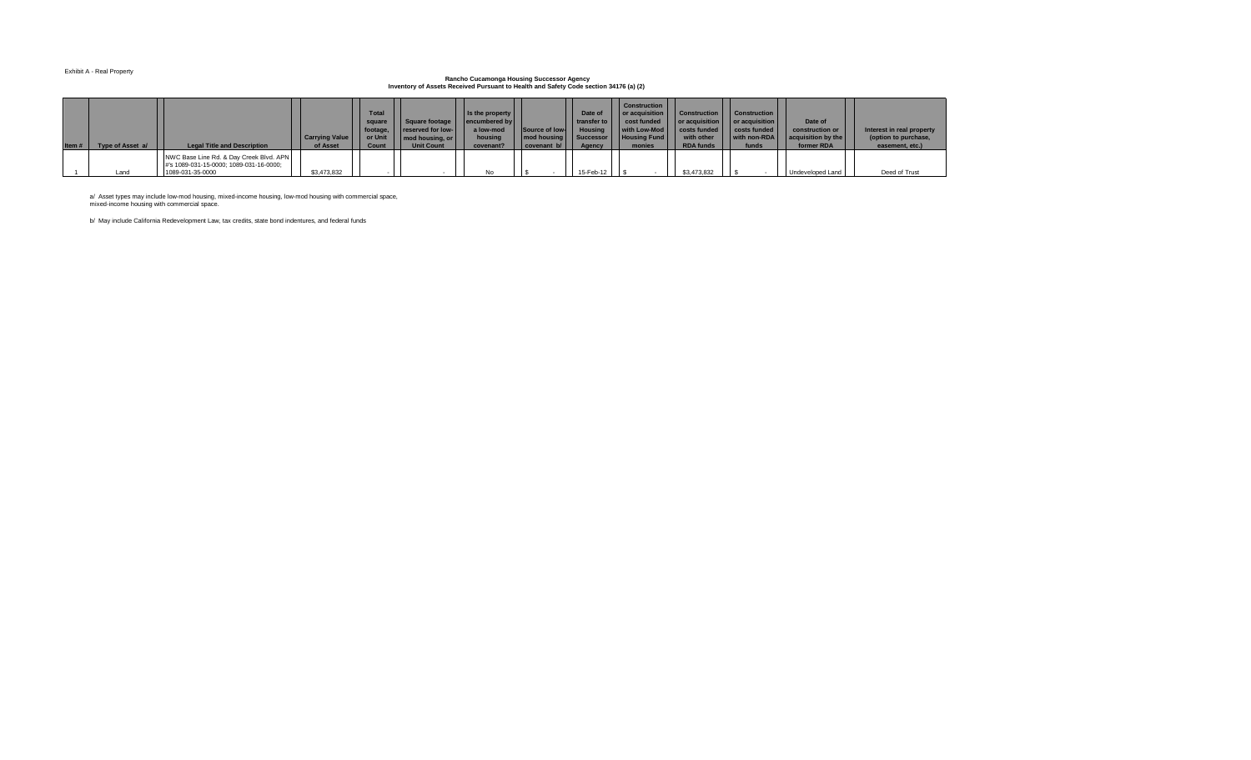#### Exhibit A - Real Property

## **Rancho Cucamonga Housing Successor Agency Inventory of Assets Received Pursuant to Health and Safety Code section 34176 (a) (2)**

| Type of Asset a/ | <b>Legal Title and Description</b>                                                                     | <b>Carrying Value</b><br>of Asset | <b>Total</b><br>square  <br>or Unit<br>Count | Square footage<br>footage, reserved for low-<br>mod housing, or<br><b>Unit Count</b> | Is the property<br>encumbered by<br>a low-mod<br>housing<br>covenant? | Source of low-<br>$\vert$ covenant b/ $\vert$ | Date of<br><b>transfer to</b><br>Housing  <br>Agency | Construction<br>or acquisition   Construction<br>$\vert$ cost funded $\vert$<br>  with Low-Mod     costs funded  <br>  mod housing   Successor     Housing Fund  <br>monies | $\vert$ or acquisition $\vert$ or acquisition $\vert$<br>with other<br><b>RDA funds</b> | Construction<br>costs funded<br>with non-RDA<br>funds | Date of<br>construction or<br>acquisition by the<br>former RDA | Interest in real property<br>(option to purchase,<br>easement, etc.) |
|------------------|--------------------------------------------------------------------------------------------------------|-----------------------------------|----------------------------------------------|--------------------------------------------------------------------------------------|-----------------------------------------------------------------------|-----------------------------------------------|------------------------------------------------------|-----------------------------------------------------------------------------------------------------------------------------------------------------------------------------|-----------------------------------------------------------------------------------------|-------------------------------------------------------|----------------------------------------------------------------|----------------------------------------------------------------------|
| Land             | NWC Base Line Rd. & Day Creek Blvd. APN<br>#'s 1089-031-15-0000; 1089-031-16-0000;<br>1089-031-35-0000 | \$3,473,832                       |                                              |                                                                                      | No                                                                    |                                               | 15-Feb-12                                            |                                                                                                                                                                             | \$3,473,832                                                                             |                                                       | Undeveloped Land                                               | Deed of Trust                                                        |

a/ Asset types may include low-mod housing, mixed-income housing, low-mod housing with commercial space, mixed-income housing with commercial space.

b/ May include California Redevelopment Law, tax credits, state bond indentures, and federal funds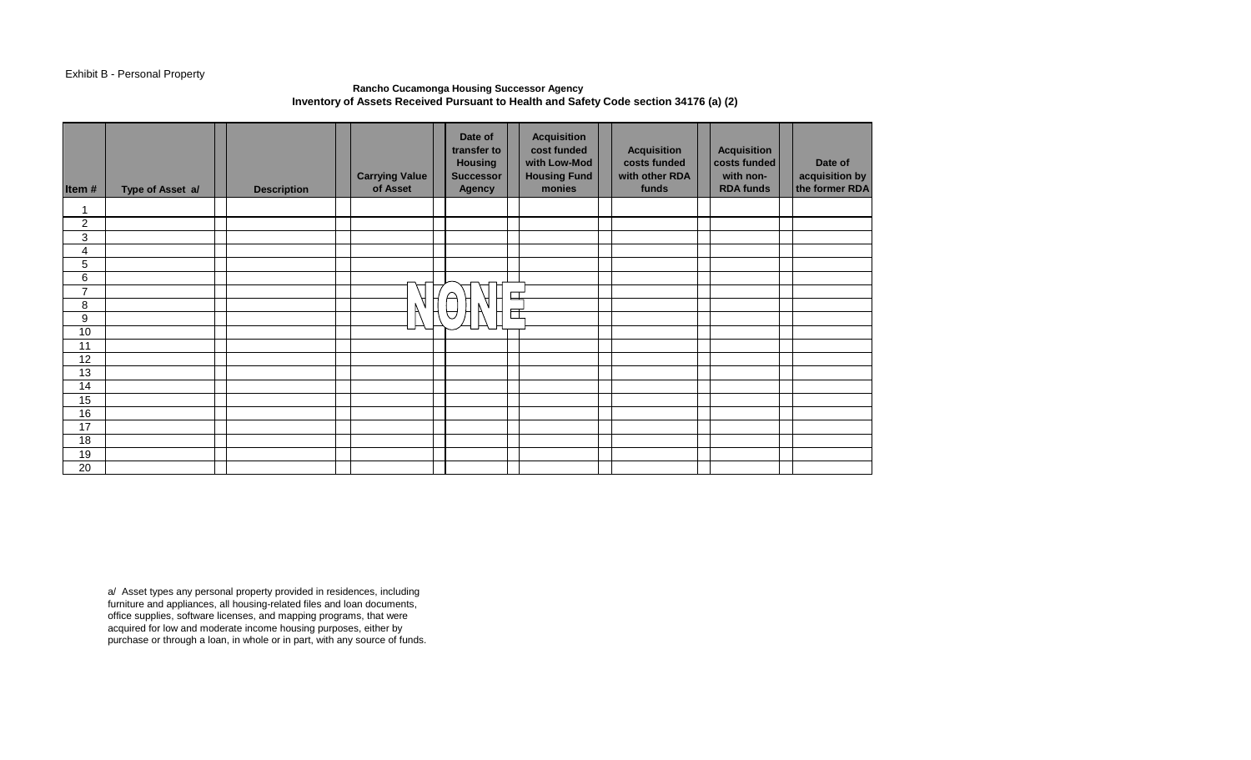## Exhibit B - Personal Property

## **Rancho Cucamonga Housing Successor Agency Inventory of Assets Received Pursuant to Health and Safety Code section 34176 (a) (2)**

| Item#          | Type of Asset a/ | <b>Description</b> | <b>Carrying Value</b><br>of Asset | Date of<br>transfer to<br><b>Housing</b><br><b>Successor</b><br><b>Agency</b> |        | <b>Acquisition</b><br>cost funded<br>with Low-Mod<br><b>Housing Fund</b><br>monies | <b>Acquisition</b><br>costs funded<br>with other RDA<br>funds | <b>Acquisition</b><br>costs funded<br>with non-<br><b>RDA funds</b> | Date of<br>acquisition by<br>the former RDA |
|----------------|------------------|--------------------|-----------------------------------|-------------------------------------------------------------------------------|--------|------------------------------------------------------------------------------------|---------------------------------------------------------------|---------------------------------------------------------------------|---------------------------------------------|
| $\mathbf{1}$   |                  |                    |                                   |                                                                               |        |                                                                                    |                                                               |                                                                     |                                             |
| $\overline{c}$ |                  |                    |                                   |                                                                               |        |                                                                                    |                                                               |                                                                     |                                             |
| 3              |                  |                    |                                   |                                                                               |        |                                                                                    |                                                               |                                                                     |                                             |
| 4              |                  |                    |                                   |                                                                               |        |                                                                                    |                                                               |                                                                     |                                             |
| 5              |                  |                    |                                   |                                                                               |        |                                                                                    |                                                               |                                                                     |                                             |
| 6              |                  |                    |                                   |                                                                               |        |                                                                                    |                                                               |                                                                     |                                             |
| $\overline{7}$ |                  |                    |                                   |                                                                               | $\Box$ |                                                                                    |                                                               |                                                                     |                                             |
| 8              |                  |                    |                                   | ▽                                                                             | 匠      |                                                                                    |                                                               |                                                                     |                                             |
| 9              |                  |                    |                                   |                                                                               |        |                                                                                    |                                                               |                                                                     |                                             |
| 10             |                  |                    |                                   |                                                                               |        |                                                                                    |                                                               |                                                                     |                                             |
| 11             |                  |                    |                                   |                                                                               |        |                                                                                    |                                                               |                                                                     |                                             |
| 12             |                  |                    |                                   |                                                                               |        |                                                                                    |                                                               |                                                                     |                                             |
| 13             |                  |                    |                                   |                                                                               |        |                                                                                    |                                                               |                                                                     |                                             |
| 14             |                  |                    |                                   |                                                                               |        |                                                                                    |                                                               |                                                                     |                                             |
| 15             |                  |                    |                                   |                                                                               |        |                                                                                    |                                                               |                                                                     |                                             |
| 16             |                  |                    |                                   |                                                                               |        |                                                                                    |                                                               |                                                                     |                                             |
| 17             |                  |                    |                                   |                                                                               |        |                                                                                    |                                                               |                                                                     |                                             |
| 18             |                  |                    |                                   |                                                                               |        |                                                                                    |                                                               |                                                                     |                                             |
| 19<br>20       |                  |                    |                                   |                                                                               |        |                                                                                    |                                                               |                                                                     |                                             |
|                |                  |                    |                                   |                                                                               |        |                                                                                    |                                                               |                                                                     |                                             |

a/ Asset types any personal property provided in residences, including furniture and appliances, all housing-related files and loan documents, office supplies, software licenses, and mapping programs, that were acquired for low and moderate income housing purposes, either by purchase or through a loan, in whole or in part, with any source of funds.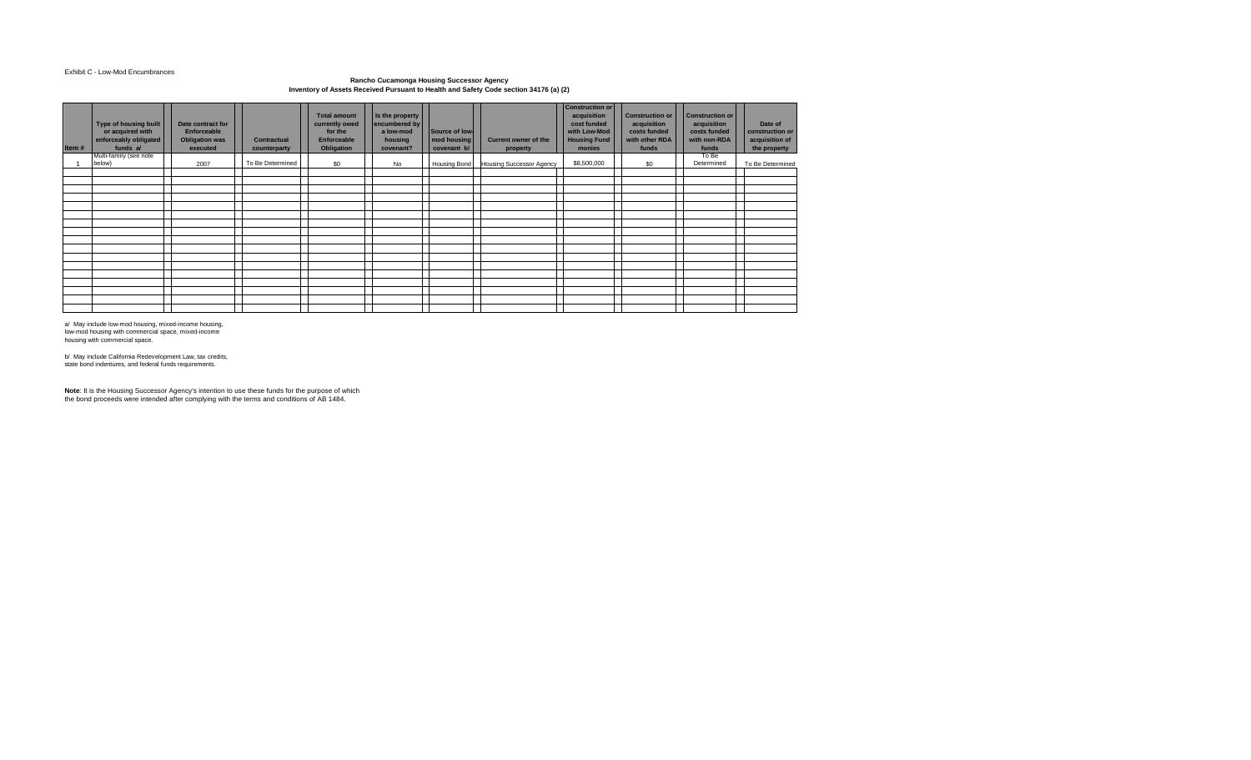#### Exhibit C - Low-Mod Encumbrances

### **Rancho Cucamonga Housing Successor Agency Inventory of Assets Received Pursuant to Health and Safety Code section 34176 (a) (2)**

| Item# | Type of housing built<br>or acquired with<br>enforceably obligated<br>funds a/ | Date contract for<br>Enforceable<br><b>Obligation was</b><br>executed | <b>Contractual</b><br>counterparty | <b>Total amount</b><br>currently owed<br>for the<br><b>Enforceable</b><br>Obligation | Is the property<br>encumbered by<br>a low-mod<br>housing<br>covenant? | Source of low-<br>mod housing<br>covenant b/ | <b>Current owner of the</b><br>property | <b>Construction or</b><br>acquisition<br>cost funded<br>with Low-Mod<br><b>Housing Fund</b><br>monies | <b>Construction or</b><br>acquisition<br>costs funded<br>with other RDA<br>funds | <b>Construction or</b><br>acquisition<br>costs funded<br>with non-RDA<br>funds | Date of<br>construction or<br>acquisition of<br>the property |
|-------|--------------------------------------------------------------------------------|-----------------------------------------------------------------------|------------------------------------|--------------------------------------------------------------------------------------|-----------------------------------------------------------------------|----------------------------------------------|-----------------------------------------|-------------------------------------------------------------------------------------------------------|----------------------------------------------------------------------------------|--------------------------------------------------------------------------------|--------------------------------------------------------------|
|       | Multi-family (see note<br>below)                                               | 2007                                                                  | To Be Determined                   | \$0                                                                                  | No                                                                    | Housing Bond                                 | <b>Housing Successor Agency</b>         | \$8,500,000                                                                                           | \$0                                                                              | To Be<br>Determined                                                            | To Be Determined                                             |
|       |                                                                                |                                                                       |                                    |                                                                                      |                                                                       |                                              |                                         |                                                                                                       |                                                                                  |                                                                                |                                                              |
|       |                                                                                |                                                                       |                                    |                                                                                      |                                                                       |                                              |                                         |                                                                                                       |                                                                                  |                                                                                |                                                              |
|       |                                                                                |                                                                       |                                    |                                                                                      |                                                                       |                                              |                                         |                                                                                                       |                                                                                  |                                                                                |                                                              |
|       |                                                                                |                                                                       |                                    |                                                                                      |                                                                       |                                              |                                         |                                                                                                       |                                                                                  |                                                                                |                                                              |
|       |                                                                                |                                                                       |                                    |                                                                                      |                                                                       |                                              |                                         |                                                                                                       |                                                                                  |                                                                                |                                                              |
|       |                                                                                |                                                                       |                                    |                                                                                      |                                                                       |                                              |                                         |                                                                                                       |                                                                                  |                                                                                |                                                              |
|       |                                                                                |                                                                       |                                    |                                                                                      |                                                                       |                                              |                                         |                                                                                                       |                                                                                  |                                                                                |                                                              |
|       |                                                                                |                                                                       |                                    |                                                                                      |                                                                       |                                              |                                         |                                                                                                       |                                                                                  |                                                                                |                                                              |
|       |                                                                                |                                                                       |                                    |                                                                                      |                                                                       |                                              |                                         |                                                                                                       |                                                                                  |                                                                                |                                                              |
|       |                                                                                |                                                                       |                                    |                                                                                      |                                                                       |                                              |                                         |                                                                                                       |                                                                                  |                                                                                |                                                              |
|       |                                                                                |                                                                       |                                    |                                                                                      |                                                                       |                                              |                                         |                                                                                                       |                                                                                  |                                                                                |                                                              |
|       |                                                                                |                                                                       |                                    |                                                                                      |                                                                       |                                              |                                         |                                                                                                       |                                                                                  |                                                                                |                                                              |
|       |                                                                                |                                                                       |                                    |                                                                                      |                                                                       |                                              |                                         |                                                                                                       |                                                                                  |                                                                                |                                                              |
|       |                                                                                |                                                                       |                                    |                                                                                      |                                                                       |                                              |                                         |                                                                                                       |                                                                                  |                                                                                |                                                              |

a/ May include low-mod housing, mixed-income housing, low-mod housing with commercial space, mixed-income housing with commercial space.

b/ May include California Redevelopment Law, tax credits, state bond indentures, and federal funds requirements.

**Note**: It is the Housing Successor Agency's intention to use these funds for the purpose of which the bond proceeds were intended after complying with the terms and conditions of AB 1484.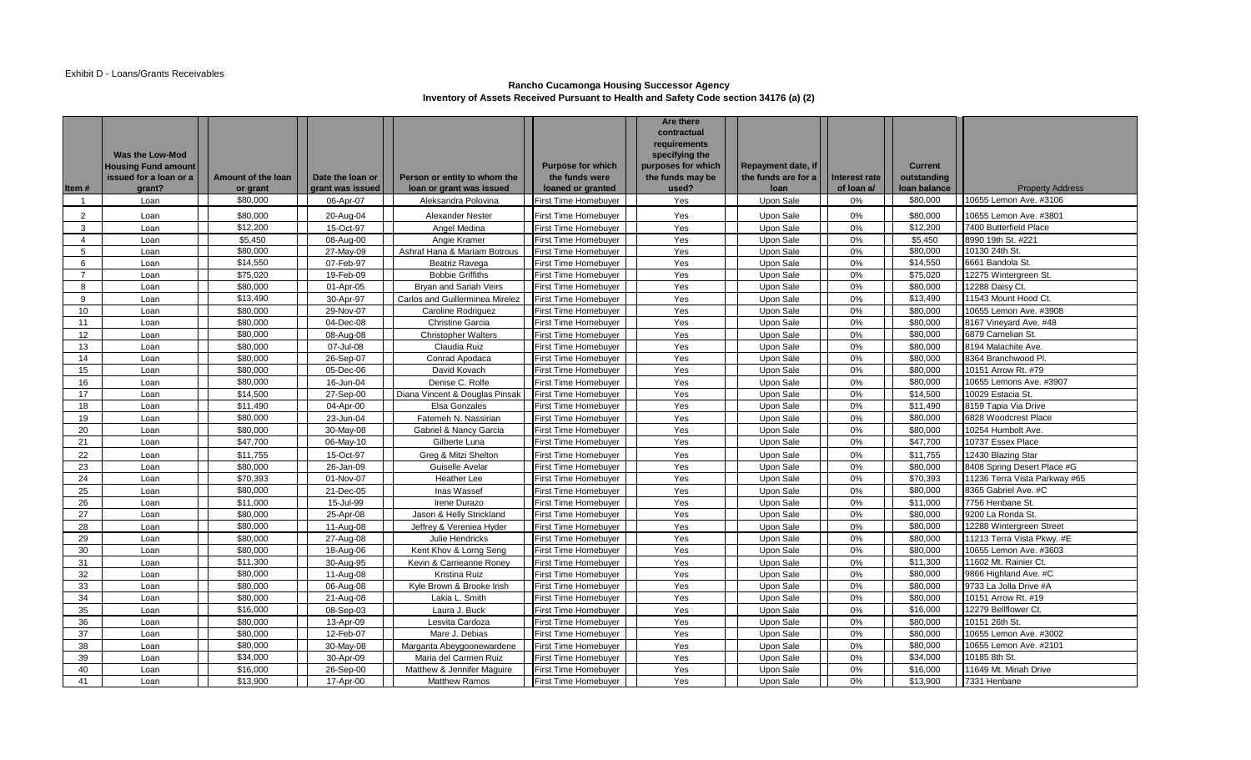## **Rancho Cucamonga Housing Successor Agency Inventory of Assets Received Pursuant to Health and Safety Code section 34176 (a) (2)**

| Item#                    | Was the Low-Mod<br><b>Housing Fund amount</b><br>issued for a loan or a<br>grant? | Amount of the loan<br>or grant | Date the loan or<br>grant was issued | Person or entity to whom the<br>loan or grant was issued | <b>Purpose for which</b><br>the funds were<br>loaned or granted | <b>Are there</b><br>contractual<br>requirements<br>specifying the<br>purposes for which<br>the funds may be<br>used? | Repayment date, if<br>the funds are for a<br>loan | Interest rate<br>of loan a/ | <b>Current</b><br>outstanding<br>loan balance | <b>Property Address</b>       |
|--------------------------|-----------------------------------------------------------------------------------|--------------------------------|--------------------------------------|----------------------------------------------------------|-----------------------------------------------------------------|----------------------------------------------------------------------------------------------------------------------|---------------------------------------------------|-----------------------------|-----------------------------------------------|-------------------------------|
| -1                       | Loan                                                                              | \$80,000                       | 06-Apr-07                            | Aleksandra Polovina                                      | First Time Homebuyer                                            | Yes                                                                                                                  | Upon Sale                                         | 0%                          | \$80,000                                      | 10655 Lemon Ave. #3106        |
| $\overline{2}$           | Loan                                                                              | \$80,000                       | 20-Aug-04                            | <b>Alexander Nester</b>                                  | First Time Homebuyer                                            | Yes                                                                                                                  | Upon Sale                                         | 0%                          | \$80,000                                      | 10655 Lemon Ave. #3801        |
| 3                        | Loan                                                                              | \$12,200                       | 15-Oct-97                            | Angel Medina                                             | First Time Homebuyer                                            | Yes                                                                                                                  | Upon Sale                                         | 0%                          | \$12,200                                      | 7400 Butterfield Place        |
| $\boldsymbol{\varDelta}$ | Loan                                                                              | \$5.450                        | 08-Aug-00                            | Angie Kramer                                             | <b>First Time Homebuyer</b>                                     | Yes                                                                                                                  | Upon Sale                                         | 0%                          | \$5,450                                       | 8990 19th St. #221            |
| 5                        | Loan                                                                              | \$80,000                       | 27-May-09                            | Ashraf Hana & Mariam Botrous                             | <b>First Time Homebuyer</b>                                     | Yes                                                                                                                  | Upon Sale                                         | 0%                          | \$80,000                                      | 10130 24th St.                |
| 6                        | Loan                                                                              | \$14,550                       | 07-Feb-97                            | Beatriz Ravega                                           | First Time Homebuyer                                            | Yes                                                                                                                  | Upon Sale                                         | 0%                          | \$14,550                                      | 6661 Bandola St.              |
| $\overline{7}$           | Loan                                                                              | \$75,020                       | 19-Feb-09                            | <b>Bobbie Griffiths</b>                                  | <b>First Time Homebuyer</b>                                     | Yes                                                                                                                  | Upon Sale                                         | 0%                          | \$75,020                                      | 12275 Wintergreen St.         |
| 8                        | Loan                                                                              | \$80,000                       | 01-Apr-05                            | Bryan and Sariah Veirs                                   | First Time Homebuyer                                            | Yes                                                                                                                  | Upon Sale                                         | 0%                          | \$80,000                                      | 12288 Daisy Ct                |
| 9                        | Loan                                                                              | \$13,490                       | 30-Apr-97                            | Carlos and Guillerminea Mirelez                          | <b>First Time Homebuyer</b>                                     | Yes                                                                                                                  | Upon Sale                                         | 0%                          | \$13,490                                      | 11543 Mount Hood Ct.          |
| 10                       | Loan                                                                              | \$80,000                       | 29-Nov-07                            | <b>Caroline Rodriguez</b>                                | First Time Homebuyer                                            | Yes                                                                                                                  | Upon Sale                                         | 0%                          | \$80,000                                      | 10655 Lemon Ave. #3908        |
| 11                       | Loan                                                                              | \$80,000                       | 04-Dec-08                            | <b>Christine Garcia</b>                                  | First Time Homebuyer                                            | Yes                                                                                                                  | Upon Sale                                         | 0%                          | \$80,000                                      | 8167 Vineyard Ave. #48        |
| 12                       | Loan                                                                              | \$80,000                       | 08-Aug-08                            | <b>Christopher Walters</b>                               | <b>First Time Homebuyer</b>                                     | Yes                                                                                                                  | Upon Sale                                         | 0%                          | \$80,000                                      | 6879 Carnelian St.            |
| 13                       | Loan                                                                              | \$80,000                       | 07-Jul-08                            | Claudia Ruiz                                             | First Time Homebuyer                                            | Yes                                                                                                                  | Upon Sale                                         | 0%                          | \$80,000                                      | 8194 Malachite Ave.           |
| 14                       | Loan                                                                              | \$80,000                       | 26-Sep-07                            | Conrad Apodaca                                           | <b>First Time Homebuyer</b>                                     | Yes                                                                                                                  | Upon Sale                                         | 0%                          | \$80,000                                      | 8364 Branchwood Pl.           |
| 15                       | Loan                                                                              | \$80,000                       | 05-Dec-06                            | David Kovach                                             | <b>First Time Homebuyer</b>                                     | Yes                                                                                                                  | Upon Sale                                         | 0%                          | \$80,000                                      | 10151 Arrow Rt. #79           |
| 16                       | Loan                                                                              | \$80,000                       | 16-Jun-04                            | Denise C. Rolfe                                          | <b>First Time Homebuyer</b>                                     | Yes                                                                                                                  | Upon Sale                                         | 0%                          | \$80,000                                      | 10655 Lemons Ave. #3907       |
| 17                       | Loan                                                                              | \$14,500                       | 27-Sep-00                            | Diana Vincent & Douglas Pinsak                           | First Time Homebuyer                                            | Yes                                                                                                                  | Upon Sale                                         | 0%                          | \$14,500                                      | 10029 Estacia St.             |
| 18                       | Loan                                                                              | \$11.490                       | 04-Apr-00                            | Elsa Gonzales                                            | <b>First Time Homebuyer</b>                                     | Yes                                                                                                                  | Upon Sale                                         | 0%                          | \$11.490                                      | 8159 Tapia Via Drive          |
| 19                       | Loan                                                                              | \$80,000                       | 23-Jun-04                            | Fatemeh N. Nassirian                                     | <b>First Time Homebuyer</b>                                     | Yes                                                                                                                  | Upon Sale                                         | 0%                          | \$80,000                                      | 6828 Woodcrest Place          |
| 20                       | Loan                                                                              | \$80,000                       | 30-May-08                            | Gabriel & Nancy Garcia                                   | <b>First Time Homebuyer</b>                                     | Yes                                                                                                                  | Upon Sale                                         | 0%                          | \$80,000                                      | 10254 Humbolt Ave.            |
| 21                       | Loan                                                                              | \$47,700                       | 06-May-10                            | Gilberte Luna                                            | <b>First Time Homebuyer</b>                                     | Yes                                                                                                                  | Upon Sale                                         | 0%                          | \$47,700                                      | 10737 Essex Place             |
| 22                       | Loan                                                                              | \$11,755                       | 15-Oct-97                            | Greg & Mitzi Shelton                                     | First Time Homebuyer                                            | Yes                                                                                                                  | Upon Sale                                         | 0%                          | \$11,755                                      | 12430 Blazing Star            |
| 23                       | Loan                                                                              | \$80,000                       | 26-Jan-09                            | Guiselle Avelar                                          | <b>First Time Homebuyer</b>                                     | Yes                                                                                                                  | Upon Sale                                         | 0%                          | \$80,000                                      | 8408 Spring Desert Place #G   |
| 24                       | Loan                                                                              | \$70,393                       | 01-Nov-07                            | Heather Lee                                              | <b>First Time Homebuyer</b>                                     | Yes                                                                                                                  | Upon Sale                                         | 0%                          | \$70,393                                      | 11236 Terra Vista Parkway #65 |
| 25                       | Loan                                                                              | \$80,000                       | 21-Dec-05                            | Inas Wassef                                              | <b>First Time Homebuver</b>                                     | Yes                                                                                                                  | Upon Sale                                         | 0%                          | \$80,000                                      | 8365 Gabriel Ave. #C          |
| 26                       | Loan                                                                              | \$11,000                       | 15-Jul-99                            | Irene Durazo                                             | <b>First Time Homebuyer</b>                                     | Yes                                                                                                                  | Upon Sale                                         | 0%                          | \$11,000                                      | 7756 Henbane St.              |
| 27                       | Loan                                                                              | \$80,000                       | 25-Apr-08                            | Jason & Helly Strickland                                 | <b>First Time Homebuyer</b>                                     | Yes                                                                                                                  | Upon Sale                                         | 0%                          | \$80,000                                      | 9200 La Ronda St.             |
| 28                       | Loan                                                                              | \$80,000                       | 11-Aug-08                            | Jeffrey & Vereniea Hyder                                 | <b>First Time Homebuyer</b>                                     | Yes                                                                                                                  | Upon Sale                                         | 0%                          | \$80,000                                      | 12288 Wintergreen Street      |
| 29                       | Loan                                                                              | \$80,000                       | 27-Aug-08                            | Julie Hendricks                                          | First Time Homebuyer                                            | Yes                                                                                                                  | Upon Sale                                         | 0%                          | \$80,000                                      | 11213 Terra Vista Pkwy. #E    |
| 30                       | Loan                                                                              | \$80,000                       | 18-Aug-06                            | Kent Khov & Lorng Seng                                   | <b>First Time Homebuyer</b>                                     | Yes                                                                                                                  | Upon Sale                                         | 0%                          | \$80,000                                      | 10655 Lemon Ave. #3603        |
| 31                       | Loan                                                                              | \$11,300                       | 30-Aug-95                            | Kevin & Carrieanne Roney                                 | <b>First Time Homebuyer</b>                                     | Yes                                                                                                                  | Upon Sale                                         | 0%                          | \$11,300                                      | 11602 Mt. Rainier Ct.         |
| 32                       | Loan                                                                              | \$80,000                       | 11-Aug-08                            | Kristina Ruiz                                            | <b>First Time Homebuyer</b>                                     | Yes                                                                                                                  | Upon Sale                                         | 0%                          | \$80,000                                      | 9866 Highland Ave. #C         |
| 33                       | Loan                                                                              | \$80,000                       | 06-Aug-08                            | Kyle Brown & Brooke Irish                                | <b>First Time Homebuyer</b>                                     | Yes                                                                                                                  | Upon Sale                                         | 0%                          | \$80,000                                      | 9733 La Jolla Drive #A        |
| 34                       | Loan                                                                              | \$80,000                       | 21-Aug-08                            | Lakia L. Smith                                           | <b>First Time Homebuyer</b>                                     | Yes                                                                                                                  | Upon Sale                                         | 0%                          | \$80,000                                      | 10151 Arrow Rt. #19           |
| 35                       | Loan                                                                              | \$16,000                       | 08-Sep-03                            | Laura J. Buck                                            | <b>First Time Homebuyer</b>                                     | Yes                                                                                                                  | Upon Sale                                         | 0%                          | \$16,000                                      | 12279 Bellflower Ct.          |
| 36                       | Loan                                                                              | \$80,000                       | 13-Apr-09                            | Lesvita Cardoza                                          | First Time Homebuyer                                            | Yes                                                                                                                  | Upon Sale                                         | 0%                          | \$80,000                                      | 10151 26th St.                |
| 37                       | Loan                                                                              | \$80,000                       | 12-Feb-07                            | Mare J. Debias                                           | <b>First Time Homebuyer</b>                                     | Yes                                                                                                                  | Upon Sale                                         | 0%                          | \$80,000                                      | 10655 Lemon Ave. #3002        |
| 38                       | Loan                                                                              | \$80,000                       | $30$ -May-08                         | Margarita Abeygoonewardene                               | First Time Homebuyer                                            | Yes                                                                                                                  | Upon Sale                                         | 0%                          | \$80,000                                      | 10655 Lemon Ave. #2101        |
| 39                       | Loan                                                                              | \$34,000                       | 30-Apr-09                            | Maria del Carmen Ruiz                                    | <b>First Time Homebuver</b>                                     | Yes                                                                                                                  | Upon Sale                                         | 0%                          | \$34,000                                      | 10185 8th St.                 |
| 40                       | Loan                                                                              | \$16,000                       | 26-Sep-00                            | Matthew & Jennifer Maguire                               | First Time Homebuyer                                            | Yes                                                                                                                  | Upon Sale                                         | 0%                          | \$16,000                                      | 11649 Mt. Miriah Drive        |
| 41                       | Loan                                                                              | \$13,900                       | 17-Apr-00                            | <b>Matthew Ramos</b>                                     | <b>First Time Homebuyer</b>                                     | Yes                                                                                                                  | Upon Sale                                         | 0%                          | \$13,900                                      | 7331 Henbane                  |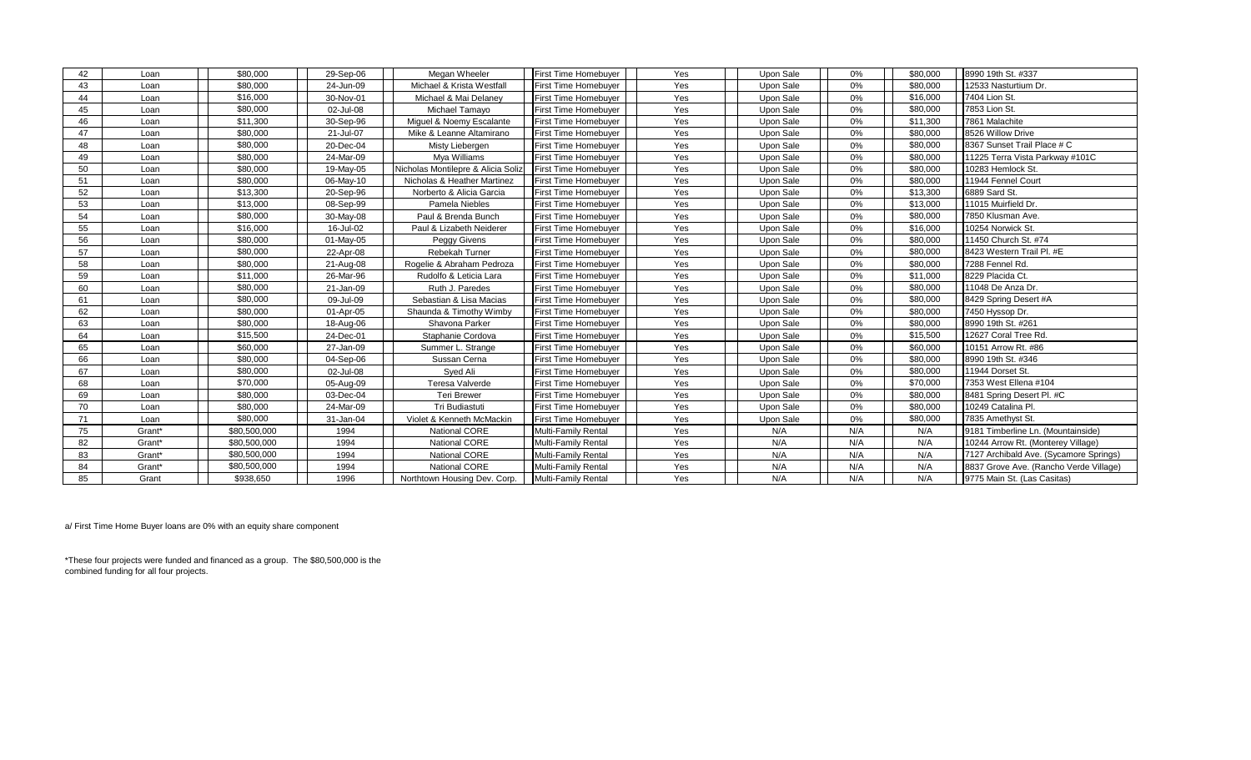| 42 | Loan   | \$80,000     | 29-Sep-06 | Megan Wheeler                      | First Time Homebuyer        | Yes | Upon Sale | 0%  | \$80,000 | 8990 19th St. #337                     |
|----|--------|--------------|-----------|------------------------------------|-----------------------------|-----|-----------|-----|----------|----------------------------------------|
| 43 | Loan   | \$80,000     | 24-Jun-09 | Michael & Krista Westfall          | First Time Homebuyer        | Yes | Upon Sale | 0%  | \$80,000 | 12533 Nasturtium Dr.                   |
| 44 | Loan   | \$16,000     | 30-Nov-01 | Michael & Mai Delaney              | First Time Homebuyer        | Yes | Upon Sale | 0%  | \$16,000 | 7404 Lion St.                          |
| 45 | Loan   | \$80,000     | 02-Jul-08 | Michael Tamayo                     | <b>First Time Homebuyer</b> | Yes | Upon Sale | 0%  | \$80,000 | 7853 Lion St.                          |
| 46 | Loan   | \$11,300     | 30-Sep-96 | Miguel & Noemy Escalante           | <b>First Time Homebuyer</b> | Yes | Upon Sale | 0%  | \$11,300 | 7861 Malachite                         |
| 47 | Loan   | \$80,000     | 21-Jul-07 | Mike & Leanne Altamirano           | First Time Homebuyer        | Yes | Upon Sale | 0%  | \$80,000 | 8526 Willow Drive                      |
| 48 | Loan   | \$80,000     | 20-Dec-04 | Misty Liebergen                    | First Time Homebuyer        | Yes | Upon Sale | 0%  | \$80,000 | 8367 Sunset Trail Place # C            |
| 49 | Loan   | \$80,000     | 24-Mar-09 | Mya Williams                       | First Time Homebuyer        | Yes | Upon Sale | 0%  | \$80,000 | 11225 Terra Vista Parkway #101C        |
| 50 | Loan   | \$80,000     | 19-May-05 | Nicholas Montilepre & Alicia Soliz | <b>First Time Homebuyer</b> | Yes | Upon Sale | 0%  | \$80,000 | 10283 Hemlock St.                      |
| 51 | Loan   | \$80,000     | 06-May-10 | Nicholas & Heather Martinez        | First Time Homebuyer        | Yes | Upon Sale | 0%  | \$80,000 | 11944 Fennel Court                     |
| 52 | Loan   | \$13,300     | 20-Sep-96 | Norberto & Alicia Garcia           | First Time Homebuyer        | Yes | Upon Sale | 0%  | \$13,300 | 6889 Sard St.                          |
| 53 | Loan   | \$13,000     | 08-Sep-99 | Pamela Niebles                     | <b>First Time Homebuyer</b> | Yes | Upon Sale | 0%  | \$13,000 | 11015 Muirfield Dr.                    |
| 54 | Loan   | \$80,000     | 30-May-08 | Paul & Brenda Bunch                | <b>First Time Homebuyer</b> | Yes | Upon Sale | 0%  | \$80,000 | 7850 Klusman Ave.                      |
| 55 | Loan   | \$16,000     | 16-Jul-02 | Paul & Lizabeth Neiderer           | <b>First Time Homebuyer</b> | Yes | Upon Sale | 0%  | \$16,000 | 10254 Norwick St.                      |
| 56 | Loan   | \$80,000     | 01-May-05 | Peggy Givens                       | <b>First Time Homebuyer</b> | Yes | Upon Sale | 0%  | \$80,000 | 11450 Church St. #74                   |
| 57 | Loan   | \$80,000     | 22-Apr-08 | Rebekah Turner                     | First Time Homebuyer        | Yes | Upon Sale | 0%  | \$80,000 | 8423 Western Trail Pl. #E              |
| 58 | Loan   | \$80,000     | 21-Aug-08 | Rogelie & Abraham Pedroza          | <b>First Time Homebuyer</b> | Yes | Upon Sale | 0%  | \$80,000 | 7288 Fennel Rd.                        |
| 59 | Loan   | \$11,000     | 26-Mar-96 | Rudolfo & Leticia Lara             | First Time Homebuyer        | Yes | Upon Sale | 0%  | \$11,000 | 8229 Placida Ct.                       |
| 60 | Loan   | \$80,000     | 21-Jan-09 | Ruth J. Paredes                    | <b>First Time Homebuyer</b> | Yes | Upon Sale | 0%  | \$80,000 | 11048 De Anza Dr.                      |
| 61 | Loan   | \$80,000     | 09-Jul-09 | Sebastian & Lisa Macias            | First Time Homebuyer        | Yes | Upon Sale | 0%  | \$80,000 | 8429 Spring Desert #A                  |
| 62 | Loan   | \$80,000     | 01-Apr-05 | Shaunda & Timothy Wimby            | First Time Homebuyer        | Yes | Upon Sale | 0%  | \$80,000 | 7450 Hyssop Dr.                        |
| 63 | Loan   | \$80,000     | 18-Aug-06 | Shavona Parker                     | First Time Homebuyer        | Yes | Upon Sale | 0%  | \$80,000 | 8990 19th St. #261                     |
| 64 | Loan   | \$15,500     | 24-Dec-01 | Staphanie Cordova                  | First Time Homebuyer        | Yes | Upon Sale | 0%  | \$15,500 | 12627 Coral Tree Rd.                   |
| 65 | Loan   | \$60,000     | 27-Jan-09 | Summer L. Strange                  | First Time Homebuyer        | Yes | Upon Sale | 0%  | \$60,000 | 10151 Arrow Rt. #86                    |
| 66 | Loan   | \$80,000     | 04-Sep-06 | Sussan Cerna                       | <b>First Time Homebuyer</b> | Yes | Upon Sale | 0%  | \$80,000 | 8990 19th St. #346                     |
| 67 | Loan   | \$80,000     | 02-Jul-08 | Syed Ali                           | <b>First Time Homebuyer</b> | Yes | Upon Sale | 0%  | \$80,000 | 11944 Dorset St.                       |
| 68 | Loan   | \$70,000     | 05-Aug-09 | Teresa Valverde                    | First Time Homebuyer        | Yes | Upon Sale | 0%  | \$70,000 | 7353 West Ellena #104                  |
| 69 | Loan   | \$80,000     | 03-Dec-04 | <b>Teri Brewer</b>                 | First Time Homebuyer        | Yes | Upon Sale | 0%  | \$80,000 | 8481 Spring Desert Pl. #C              |
| 70 | Loan   | \$80,000     | 24-Mar-09 | Tri Budiastuti                     | <b>First Time Homebuyer</b> | Yes | Upon Sale | 0%  | \$80,000 | 10249 Catalina Pl.                     |
| 71 | Loan   | \$80,000     | 31-Jan-04 | Violet & Kenneth McMackin          | <b>First Time Homebuyer</b> | Yes | Upon Sale | 0%  | \$80,000 | 7835 Amethyst St.                      |
| 75 | Grant* | \$80,500,000 | 1994      | <b>National CORE</b>               | Multi-Family Rental         | Yes | N/A       | N/A | N/A      | 9181 Timberline Ln. (Mountainside)     |
| 82 | Grant* | \$80,500,000 | 1994      | National CORE                      | Multi-Family Rental         | Yes | N/A       | N/A | N/A      | 10244 Arrow Rt. (Monterey Village)     |
| 83 | Grant* | \$80,500,000 | 1994      | National CORE                      | Multi-Family Rental         | Yes | N/A       | N/A | N/A      | 7127 Archibald Ave. (Sycamore Springs) |
| 84 | Grant* | \$80,500,000 | 1994      | National CORE                      | Multi-Family Rental         | Yes | N/A       | N/A | N/A      | 8837 Grove Ave. (Rancho Verde Village) |
| 85 | Grant  | \$938,650    | 1996      | Northtown Housing Dev. Corp.       | Multi-Family Rental         | Yes | N/A       | N/A | N/A      | 9775 Main St. (Las Casitas)            |

a/ First Time Home Buyer loans are 0% with an equity share component

\*These four projects were funded and financed as a group. The \$80,500,000 is the combined funding for all four projects.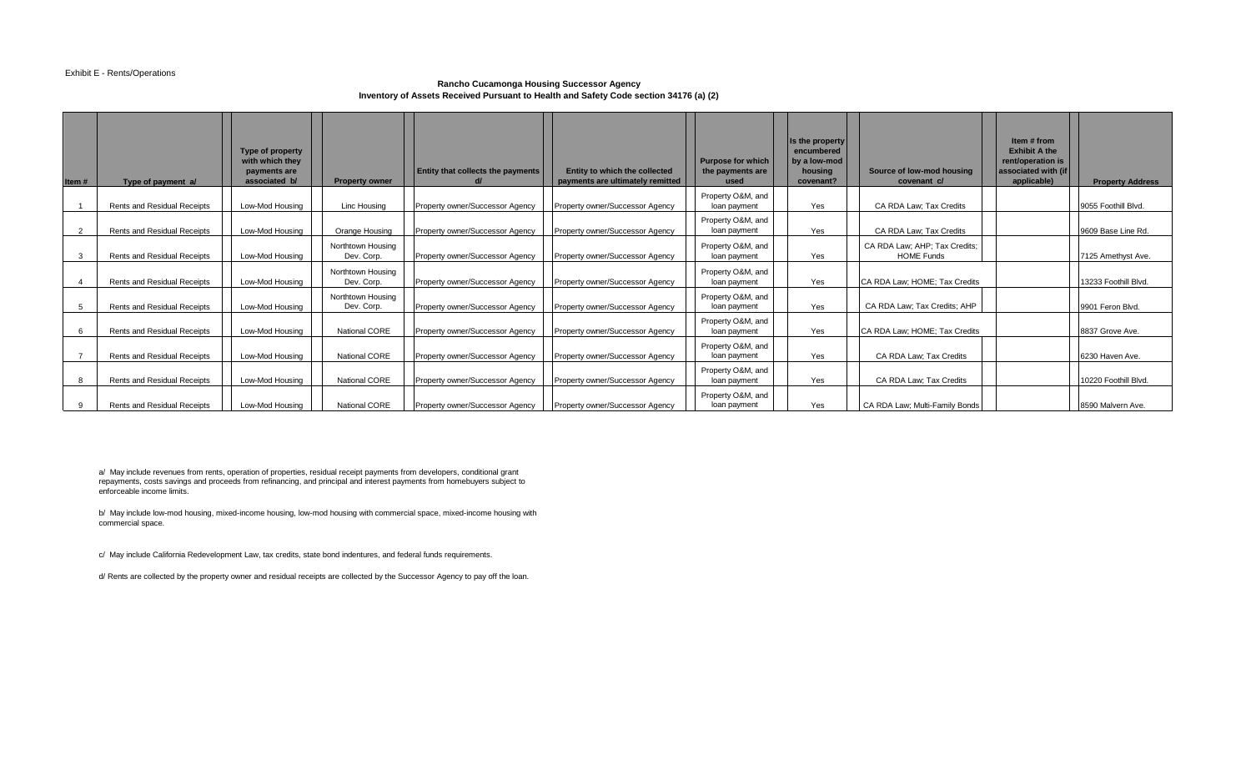### Exhibit E - Rents/Operations

### **Rancho Cucamonga Housing Successor Agency Inventory of Assets Received Pursuant to Health and Safety Code section 34176 (a) (2)**

| Item#          | Type of payment a/                 | Type of property<br>with which they<br>payments are<br>associated b/ | <b>Property owner</b>           | <b>Entity that collects the payments</b> | Entity to which the collected<br>payments are ultimately remitted | <b>Purpose for which</b><br>the payments are<br>used | Is the property<br>encumbered<br>by a low-mod<br>housing<br>covenant? | Source of low-mod housing<br>covenant c/           | Item # from<br><b>Exhibit A the</b><br>rent/operation is<br>associated with (if<br>applicable) | <b>Property Address</b> |
|----------------|------------------------------------|----------------------------------------------------------------------|---------------------------------|------------------------------------------|-------------------------------------------------------------------|------------------------------------------------------|-----------------------------------------------------------------------|----------------------------------------------------|------------------------------------------------------------------------------------------------|-------------------------|
|                | Rents and Residual Receipts        | Low-Mod Housing                                                      | <b>Linc Housing</b>             | Property owner/Successor Agency          | Property owner/Successor Agency                                   | Property O&M, and<br>loan payment                    | Yes                                                                   | CA RDA Law; Tax Credits                            |                                                                                                | 9055 Foothill Blvd.     |
| $\overline{2}$ | Rents and Residual Receipts        | Low-Mod Housing                                                      | Orange Housing                  | Property owner/Successor Agency          | Property owner/Successor Agency                                   | Property O&M, and<br>loan payment                    | Yes                                                                   | CA RDA Law; Tax Credits                            |                                                                                                | 9609 Base Line Rd.      |
| 3              | <b>Rents and Residual Receipts</b> | Low-Mod Housing                                                      | Northtown Housing<br>Dev. Corp. | Property owner/Successor Agency          | Property owner/Successor Agency                                   | Property O&M, and<br>loan payment                    | Yes                                                                   | CA RDA Law; AHP; Tax Credits;<br><b>HOME Funds</b> |                                                                                                | 7125 Amethyst Ave.      |
|                | <b>Rents and Residual Receipts</b> | Low-Mod Housing                                                      | Northtown Housing<br>Dev. Corp. | Property owner/Successor Agency          | Property owner/Successor Agency                                   | Property O&M, and<br>loan payment                    | Yes                                                                   | ICA RDA Law: HOME: Tax Credits                     |                                                                                                | 13233 Foothill Blvd.    |
| 5              | Rents and Residual Receipts        | Low-Mod Housing                                                      | Northtown Housing<br>Dev. Corp. | Property owner/Successor Agency          | Property owner/Successor Agency                                   | Property O&M, and<br>loan payment                    | Yes                                                                   | CA RDA Law; Tax Credits; AHP                       |                                                                                                | 9901 Feron Blvd.        |
| 6              | Rents and Residual Receipts        | Low-Mod Housing                                                      | National CORE                   | Property owner/Successor Agency          | Property owner/Successor Agency                                   | Property O&M, and<br>loan payment                    | Yes                                                                   | CA RDA Law; HOME; Tax Credits                      |                                                                                                | 8837 Grove Ave.         |
|                | <b>Rents and Residual Receipts</b> | Low-Mod Housing                                                      | <b>National CORE</b>            | Property owner/Successor Agency          | Property owner/Successor Agency                                   | Property O&M, and<br>loan payment                    | Yes                                                                   | CA RDA Law: Tax Credits                            |                                                                                                | 6230 Haven Ave.         |
| 8              | Rents and Residual Receipts        | Low-Mod Housing                                                      | <b>National CORE</b>            | Property owner/Successor Agency          | Property owner/Successor Agency                                   | Property O&M, and<br>loan payment                    | Yes                                                                   | CA RDA Law: Tax Credits                            |                                                                                                | 10220 Foothill Blvd.    |
| 9              | Rents and Residual Receipts        | Low-Mod Housing                                                      | <b>National CORE</b>            | Property owner/Successor Agency          | Property owner/Successor Agency                                   | Property O&M, and<br>loan payment                    | Yes                                                                   | CA RDA Law; Multi-Family Bonds                     |                                                                                                | 8590 Malvern Ave.       |

a/ May include revenues from rents, operation of properties, residual receipt payments from developers, conditional grant repayments, costs savings and proceeds from refinancing, and principal and interest payments from homebuyers subject to enforceable income limits.

b/ May include low-mod housing, mixed-income housing, low-mod housing with commercial space, mixed-income housing with commercial space.

c/ May include California Redevelopment Law, tax credits, state bond indentures, and federal funds requirements.

d/ Rents are collected by the property owner and residual receipts are collected by the Successor Agency to pay off the loan.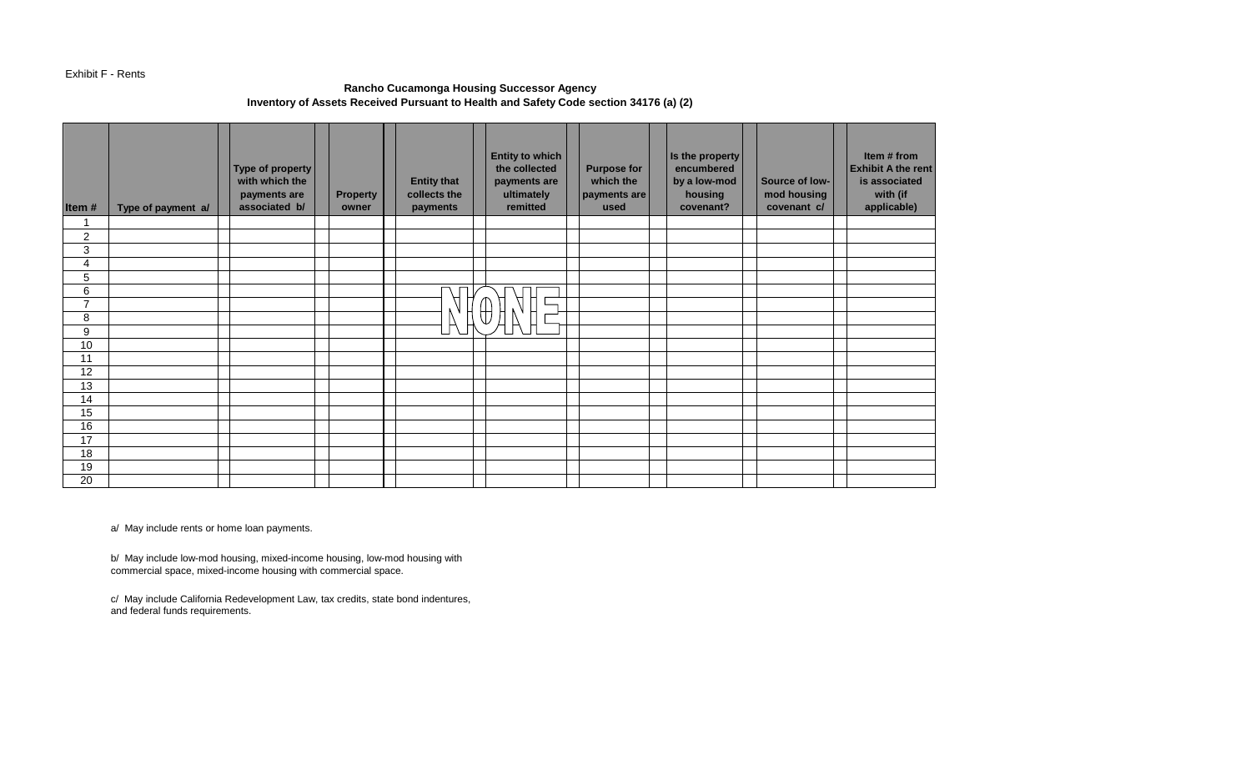## Exhibit F - Rents

## **Rancho Cucamonga Housing Successor Agency Inventory of Assets Received Pursuant to Health and Safety Code section 34176 (a) (2)**

| Item#            | Type of payment a/ | Type of property<br>with which the<br>payments are<br>associated b/ | <b>Property</b><br>owner | <b>Entity that</b><br>collects the<br>payments | <b>Entity to which</b><br>the collected<br>payments are<br>ultimately<br>remitted | <b>Purpose for</b><br>which the<br>payments are<br>used | Is the property<br>encumbered<br>by a low-mod<br>housing<br>covenant? | Source of low-<br>mod housing<br>covenant c/ | Item # from<br><b>Exhibit A the rent</b><br>is associated<br>with (if<br>applicable) |
|------------------|--------------------|---------------------------------------------------------------------|--------------------------|------------------------------------------------|-----------------------------------------------------------------------------------|---------------------------------------------------------|-----------------------------------------------------------------------|----------------------------------------------|--------------------------------------------------------------------------------------|
|                  |                    |                                                                     |                          |                                                |                                                                                   |                                                         |                                                                       |                                              |                                                                                      |
| $\boldsymbol{2}$ |                    |                                                                     |                          |                                                |                                                                                   |                                                         |                                                                       |                                              |                                                                                      |
| 3                |                    |                                                                     |                          |                                                |                                                                                   |                                                         |                                                                       |                                              |                                                                                      |
| 4                |                    |                                                                     |                          |                                                |                                                                                   |                                                         |                                                                       |                                              |                                                                                      |
| 5                |                    |                                                                     |                          |                                                |                                                                                   |                                                         |                                                                       |                                              |                                                                                      |
| 6                |                    |                                                                     |                          |                                                |                                                                                   |                                                         |                                                                       |                                              |                                                                                      |
| $\overline{ }$   |                    |                                                                     |                          |                                                | Д                                                                                 |                                                         |                                                                       |                                              |                                                                                      |
| 8                |                    |                                                                     |                          |                                                | ₩                                                                                 |                                                         |                                                                       |                                              |                                                                                      |
| 9                |                    |                                                                     |                          |                                                |                                                                                   |                                                         |                                                                       |                                              |                                                                                      |
| 10               |                    |                                                                     |                          |                                                |                                                                                   |                                                         |                                                                       |                                              |                                                                                      |
| 11               |                    |                                                                     |                          |                                                |                                                                                   |                                                         |                                                                       |                                              |                                                                                      |
| 12               |                    |                                                                     |                          |                                                |                                                                                   |                                                         |                                                                       |                                              |                                                                                      |
| 13               |                    |                                                                     |                          |                                                |                                                                                   |                                                         |                                                                       |                                              |                                                                                      |
| 14               |                    |                                                                     |                          |                                                |                                                                                   |                                                         |                                                                       |                                              |                                                                                      |
| 15               |                    |                                                                     |                          |                                                |                                                                                   |                                                         |                                                                       |                                              |                                                                                      |
| 16               |                    |                                                                     |                          |                                                |                                                                                   |                                                         |                                                                       |                                              |                                                                                      |
| 17               |                    |                                                                     |                          |                                                |                                                                                   |                                                         |                                                                       |                                              |                                                                                      |
| 18               |                    |                                                                     |                          |                                                |                                                                                   |                                                         |                                                                       |                                              |                                                                                      |
| 19               |                    |                                                                     |                          |                                                |                                                                                   |                                                         |                                                                       |                                              |                                                                                      |
| 20               |                    |                                                                     |                          |                                                |                                                                                   |                                                         |                                                                       |                                              |                                                                                      |

a/ May include rents or home loan payments.

b/ May include low-mod housing, mixed-income housing, low-mod housing with commercial space, mixed-income housing with commercial space.

c/ May include California Redevelopment Law, tax credits, state bond indentures, and federal funds requirements.